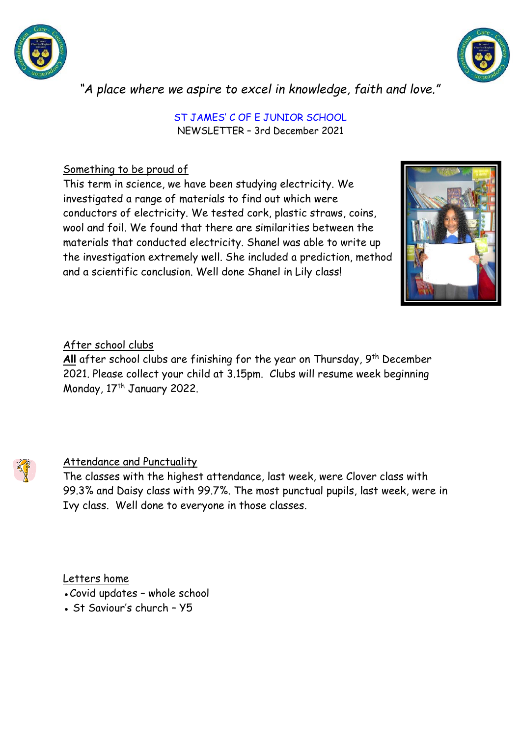



*"A place where we aspire to excel in knowledge, faith and love."*

ST JAMES' C OF E JUNIOR SCHOOL NEWSLETTER – 3rd December 2021

## Something to be proud of

This term in science, we have been studying electricity. We investigated a range of materials to find out which were conductors of electricity. We tested cork, plastic straws, coins, wool and foil. We found that there are similarities between the materials that conducted electricity. Shanel was able to write up the investigation extremely well. She included a prediction, method and a scientific conclusion. Well done Shanel in Lily class!



## After school clubs

All after school clubs are finishing for the year on Thursday, 9<sup>th</sup> December 2021. Please collect your child at 3.15pm. Clubs will resume week beginning Monday, 17<sup>th</sup> January 2022.

## Attendance and Punctuality

The classes with the highest attendance, last week, were Clover class with 99.3% and Daisy class with 99.7%. The most punctual pupils, last week, were in Ivy class. Well done to everyone in those classes.

Letters home

- Covid updates whole school
- St Saviour's church Y5